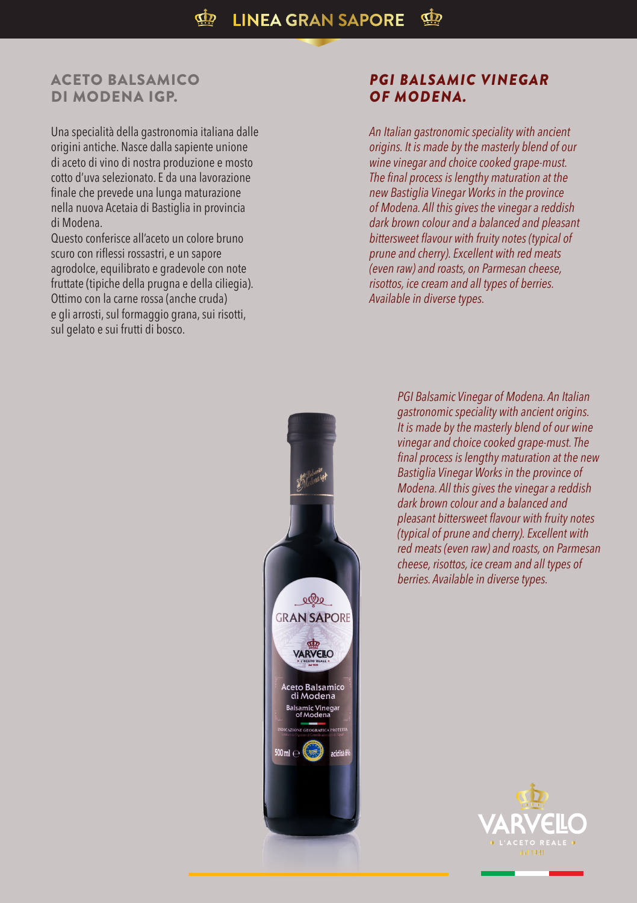## ACETO BALSAMICO DI MODENA IGP.

Una specialità della gastronomia italiana dalle origini antiche. Nasce dalla sapiente unione di aceto di vino di nostra produzione e mosto cotto d'uva selezionato. E da una lavorazione finale che prevede una lunga maturazione nella nuova Acetaia di Bastiglia in provincia di Modena.

Questo conferisce all'aceto un colore bruno scuro con riflessi rossastri, e un sapore agrodolce, equilibrato e gradevole con note fruttate (tipiche della prugna e della ciliegia). Ottimo con la carne rossa (anche cruda) e gli arrosti, sul formaggio grana, sui risotti, sul gelato e sui frutti di bosco.

## *PGI BALSAMIC VINEGAR OF MODENA.*

*An Italian gastronomic speciality with ancient origins. It is made by the masterly blend of our wine vinegar and choice cooked grape-must. The final process is lengthy maturation at the new Bastiglia Vinegar Works in the province of Modena. All this gives the vinegar a reddish dark brown colour and a balanced and pleasant bittersweet flavour with fruity notes (typical of prune and cherry). Excellent with red meats (even raw) and roasts, on Parmesan cheese, risottos, ice cream and all types of berries. Available in diverse types.*



*PGI Balsamic Vinegar of Modena. An Italian gastronomic speciality with ancient origins. It is made by the masterly blend of our wine vinegar and choice cooked grape-must. The final process is lengthy maturation at the new Bastiglia Vinegar Works in the province of Modena. All this gives the vinegar a reddish dark brown colour and a balanced and pleasant bittersweet flavour with fruity notes (typical of prune and cherry). Excellent with red meats (even raw) and roasts, on Parmesan cheese, risottos, ice cream and all types of berries. Available in diverse types.*